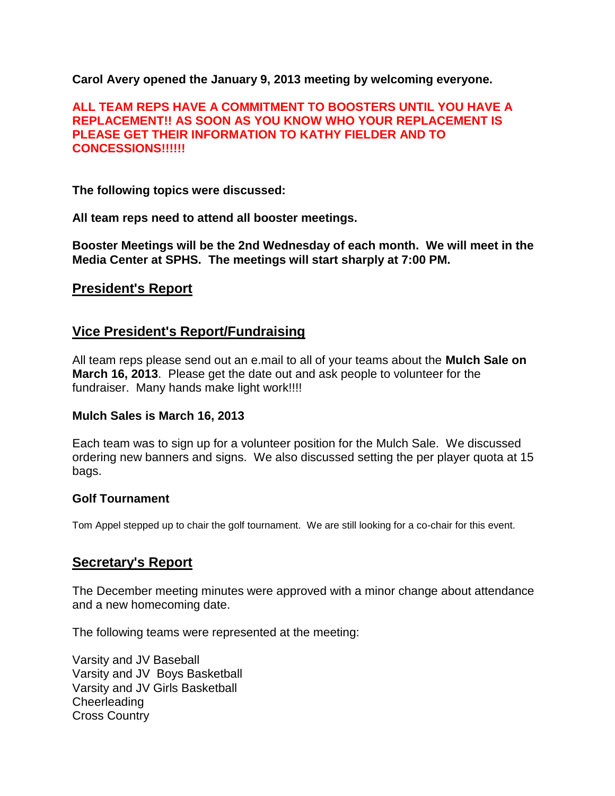**Carol Avery opened the January 9, 2013 meeting by welcoming everyone.**

### **ALL TEAM REPS HAVE A COMMITMENT TO BOOSTERS UNTIL YOU HAVE A REPLACEMENT!! AS SOON AS YOU KNOW WHO YOUR REPLACEMENT IS PLEASE GET THEIR INFORMATION TO KATHY FIELDER AND TO CONCESSIONS!!!!!!**

**The following topics were discussed:**

**All team reps need to attend all booster meetings.**

**Booster Meetings will be the 2nd Wednesday of each month. We will meet in the Media Center at SPHS. The meetings will start sharply at 7:00 PM.**

### **President's Report**

### **Vice President's Report/Fundraising**

All team reps please send out an e.mail to all of your teams about the **Mulch Sale on March 16, 2013**. Please get the date out and ask people to volunteer for the fundraiser. Many hands make light work!!!!

#### **Mulch Sales is March 16, 2013**

Each team was to sign up for a volunteer position for the Mulch Sale. We discussed ordering new banners and signs. We also discussed setting the per player quota at 15 bags.

#### **Golf Tournament**

Tom Appel stepped up to chair the golf tournament. We are still looking for a co-chair for this event.

## **Secretary's Report**

The December meeting minutes were approved with a minor change about attendance and a new homecoming date.

The following teams were represented at the meeting:

Varsity and JV Baseball Varsity and JV Boys Basketball Varsity and JV Girls Basketball **Cheerleading** Cross Country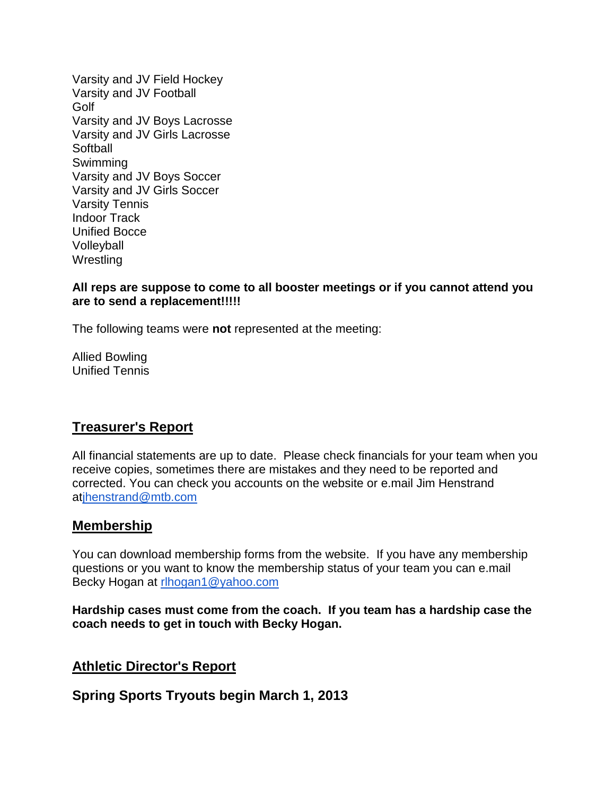Varsity and JV Field Hockey Varsity and JV Football Golf Varsity and JV Boys Lacrosse Varsity and JV Girls Lacrosse **Softball** Swimming Varsity and JV Boys Soccer Varsity and JV Girls Soccer Varsity Tennis Indoor Track Unified Bocce Volleyball **Wrestling** 

### **All reps are suppose to come to all booster meetings or if you cannot attend you are to send a replacement!!!!!**

The following teams were **not** represented at the meeting:

Allied Bowling Unified Tennis

# **Treasurer's Report**

All financial statements are up to date. Please check financials for your team when you receive copies, sometimes there are mistakes and they need to be reported and corrected. You can check you accounts on the website or e.mail Jim Henstrand atihenstrand@mtb.com

# **Membership**

You can download membership forms from the website. If you have any membership questions or you want to know the membership status of your team you can e.mail Becky Hogan at [rlhogan1@yahoo.com](mailto:rlhogan1@yahoo.com)

**Hardship cases must come from the coach. If you team has a hardship case the coach needs to get in touch with Becky Hogan.**

## **Athletic Director's Report**

**Spring Sports Tryouts begin March 1, 2013**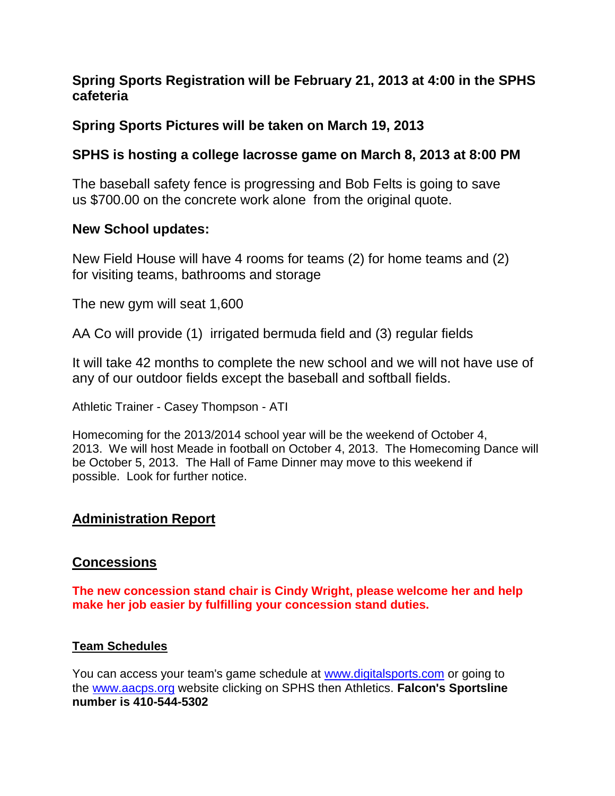## **Spring Sports Registration will be February 21, 2013 at 4:00 in the SPHS cafeteria**

# **Spring Sports Pictures will be taken on March 19, 2013**

# **SPHS is hosting a college lacrosse game on March 8, 2013 at 8:00 PM**

The baseball safety fence is progressing and Bob Felts is going to save us \$700.00 on the concrete work alone from the original quote.

## **New School updates:**

New Field House will have 4 rooms for teams (2) for home teams and (2) for visiting teams, bathrooms and storage

The new gym will seat 1,600

AA Co will provide (1) irrigated bermuda field and (3) regular fields

It will take 42 months to complete the new school and we will not have use of any of our outdoor fields except the baseball and softball fields.

Athletic Trainer - Casey Thompson - ATI

Homecoming for the 2013/2014 school year will be the weekend of October 4, 2013. We will host Meade in football on October 4, 2013. The Homecoming Dance will be October 5, 2013. The Hall of Fame Dinner may move to this weekend if possible. Look for further notice.

# **Administration Report**

# **Concessions**

**The new concession stand chair is Cindy Wright, please welcome her and help make her job easier by fulfilling your concession stand duties.**

## **Team Schedules**

You can access your team's game schedule at [www.digitalsports.com](http://www.digitalsports.com/) or going to the [www.aacps.org](http://www.aacps.org/) website clicking on SPHS then Athletics. **Falcon's Sportsline number is 410-544-5302**